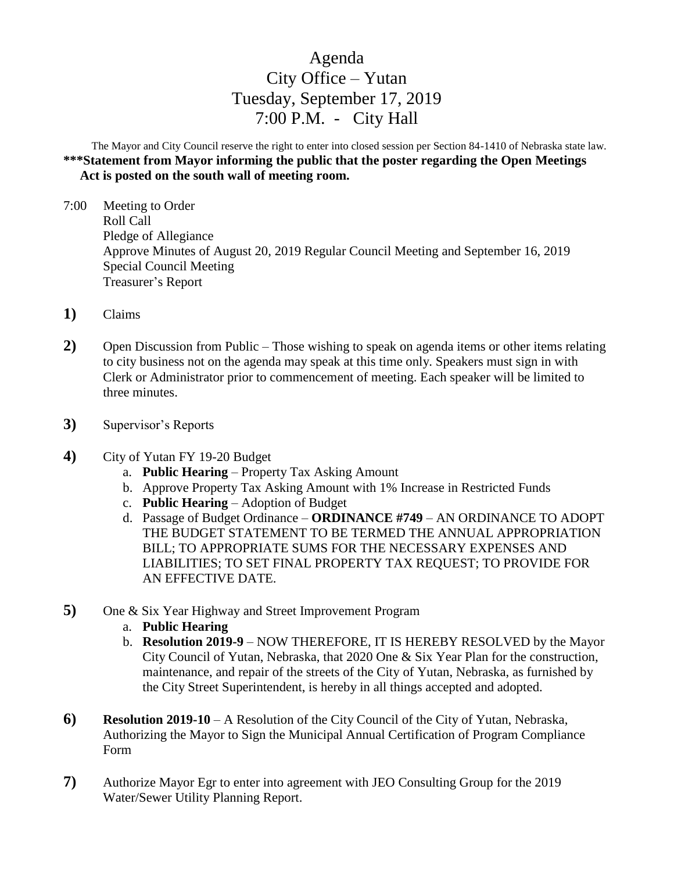## Agenda City Office – Yutan Tuesday, September 17, 2019 7:00 P.M. - City Hall

The Mayor and City Council reserve the right to enter into closed session per Section 84-1410 of Nebraska state law. **\*\*\*Statement from Mayor informing the public that the poster regarding the Open Meetings Act is posted on the south wall of meeting room.** 

- 7:00 Meeting to Order Roll Call Pledge of Allegiance Approve Minutes of August 20, 2019 Regular Council Meeting and September 16, 2019 Special Council Meeting Treasurer's Report
- **1)** Claims
- **2)** Open Discussion from Public Those wishing to speak on agenda items or other items relating to city business not on the agenda may speak at this time only. Speakers must sign in with Clerk or Administrator prior to commencement of meeting. Each speaker will be limited to three minutes.
- **3)** Supervisor's Reports
- **4)** City of Yutan FY 19-20 Budget
	- a. **Public Hearing** Property Tax Asking Amount
	- b. Approve Property Tax Asking Amount with 1% Increase in Restricted Funds
	- c. **Public Hearing** Adoption of Budget
	- d. Passage of Budget Ordinance **ORDINANCE #749** AN ORDINANCE TO ADOPT THE BUDGET STATEMENT TO BE TERMED THE ANNUAL APPROPRIATION BILL; TO APPROPRIATE SUMS FOR THE NECESSARY EXPENSES AND LIABILITIES; TO SET FINAL PROPERTY TAX REQUEST; TO PROVIDE FOR AN EFFECTIVE DATE.
- **5)** One & Six Year Highway and Street Improvement Program
	- a. **Public Hearing**
	- b. **Resolution 2019-9** NOW THEREFORE, IT IS HEREBY RESOLVED by the Mayor City Council of Yutan, Nebraska, that 2020 One & Six Year Plan for the construction, maintenance, and repair of the streets of the City of Yutan, Nebraska, as furnished by the City Street Superintendent, is hereby in all things accepted and adopted.
- **6) Resolution 2019-10** A Resolution of the City Council of the City of Yutan, Nebraska, Authorizing the Mayor to Sign the Municipal Annual Certification of Program Compliance Form
- **7)** Authorize Mayor Egr to enter into agreement with JEO Consulting Group for the 2019 Water/Sewer Utility Planning Report.